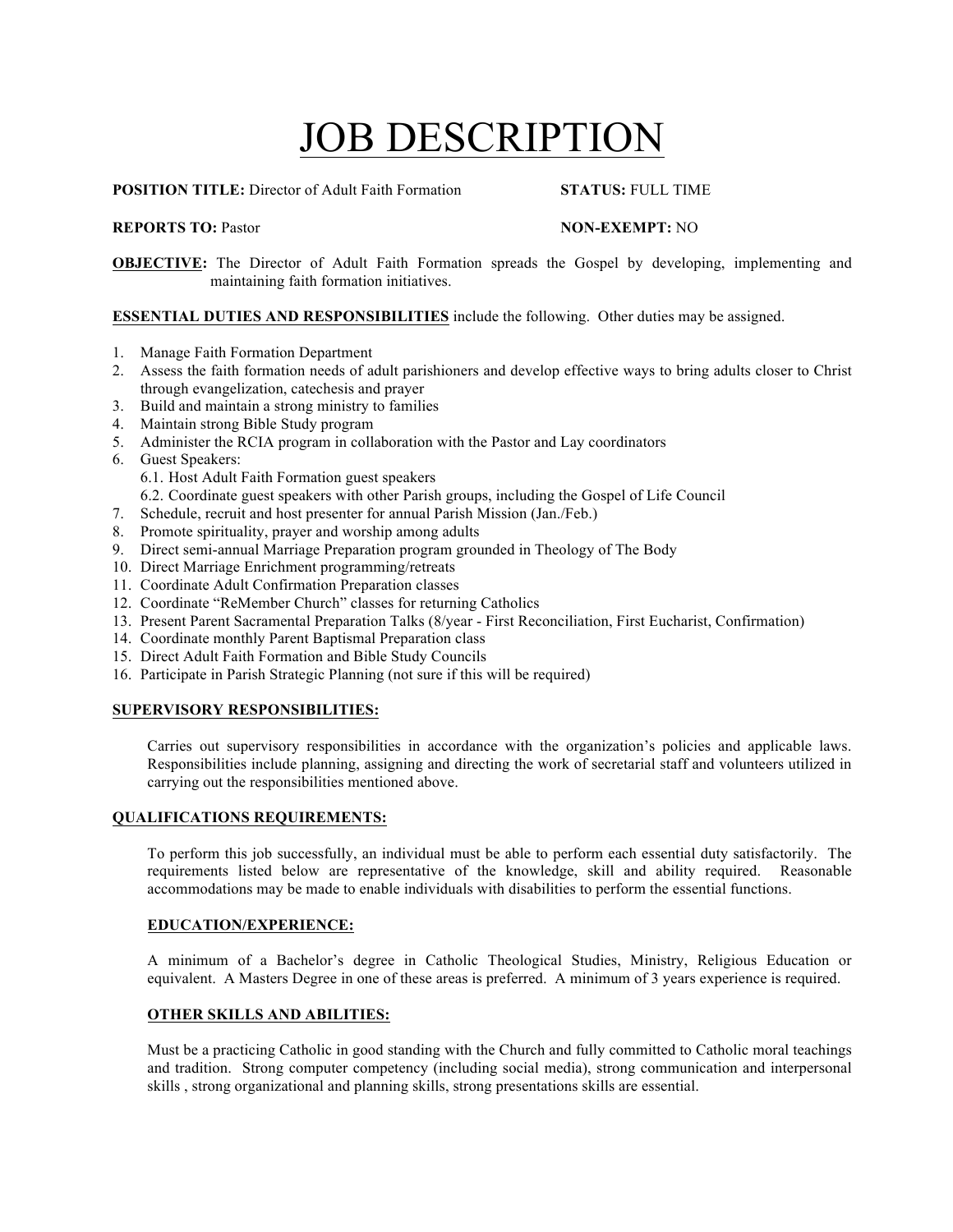# **JOB DESCRIPTION**

**POSITION TITLE:** Director of Adult Faith Formation **STATUS:** FULL TIME

## **REPORTS TO: Pastor <b>NON-EXEMPT:** NO

**OBJECTIVE:** The Director of Adult Faith Formation spreads the Gospel by developing, implementing and maintaining faith formation initiatives.

# **ESSENTIAL DUTIES AND RESPONSIBILITIES** include the following. Other duties may be assigned.

- 1. Manage Faith Formation Department
- 2. Assess the faith formation needs of adult parishioners and develop effective ways to bring adults closer to Christ through evangelization, catechesis and prayer
- 3. Build and maintain a strong ministry to families
- 4. Maintain strong Bible Study program
- 5. Administer the RCIA program in collaboration with the Pastor and Lay coordinators
- 6. Guest Speakers:
	- 6.1. Host Adult Faith Formation guest speakers
	- 6.2. Coordinate guest speakers with other Parish groups, including the Gospel of Life Council
- 7. Schedule, recruit and host presenter for annual Parish Mission (Jan./Feb.)
- 8. Promote spirituality, prayer and worship among adults
- 9. Direct semi-annual Marriage Preparation program grounded in Theology of The Body
- 10. Direct Marriage Enrichment programming/retreats
- 11. Coordinate Adult Confirmation Preparation classes
- 12. Coordinate "ReMember Church" classes for returning Catholics
- 13. Present Parent Sacramental Preparation Talks (8/year First Reconciliation, First Eucharist, Confirmation)
- 14. Coordinate monthly Parent Baptismal Preparation class
- 15. Direct Adult Faith Formation and Bible Study Councils
- 16. Participate in Parish Strategic Planning (not sure if this will be required)

# **SUPERVISORY RESPONSIBILITIES:**

Carries out supervisory responsibilities in accordance with the organization's policies and applicable laws. Responsibilities include planning, assigning and directing the work of secretarial staff and volunteers utilized in carrying out the responsibilities mentioned above.

#### **QUALIFICATIONS REQUIREMENTS:**

To perform this job successfully, an individual must be able to perform each essential duty satisfactorily. The requirements listed below are representative of the knowledge, skill and ability required. Reasonable accommodations may be made to enable individuals with disabilities to perform the essential functions.

# **EDUCATION/EXPERIENCE:**

A minimum of a Bachelor's degree in Catholic Theological Studies, Ministry, Religious Education or equivalent. A Masters Degree in one of these areas is preferred. A minimum of 3 years experience is required.

# **OTHER SKILLS AND ABILITIES:**

Must be a practicing Catholic in good standing with the Church and fully committed to Catholic moral teachings and tradition. Strong computer competency (including social media), strong communication and interpersonal skills , strong organizational and planning skills, strong presentations skills are essential.